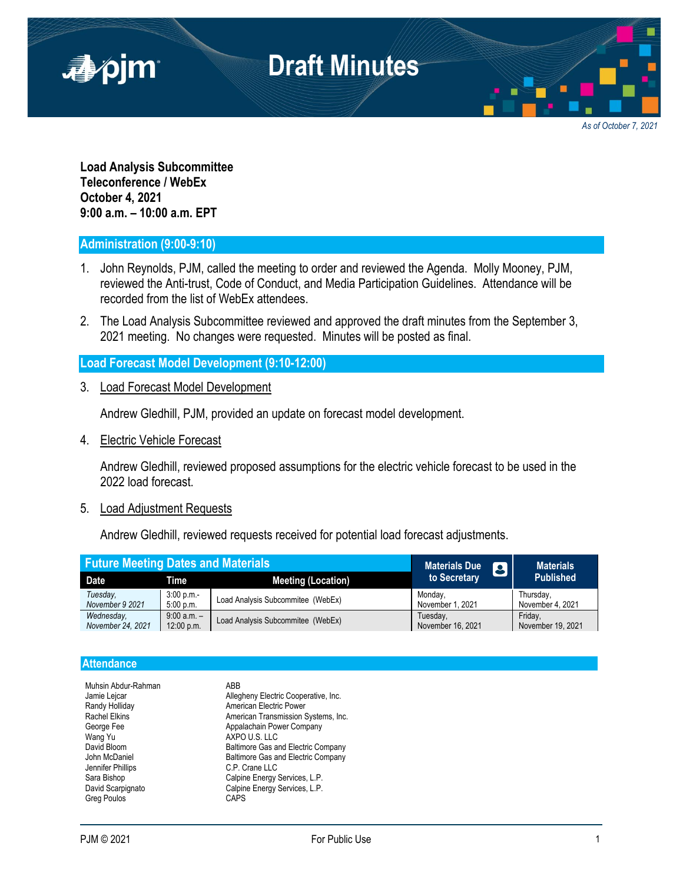

*As of October 7, 2021*

**Load Analysis Subcommittee Teleconference / WebEx October 4, 2021 9:00 a.m. – 10:00 a.m. EPT**

## **Administration (9:00-9:10)**

- 1. John Reynolds, PJM, called the meeting to order and reviewed the Agenda. Molly Mooney, PJM, reviewed the Anti-trust, Code of Conduct, and Media Participation Guidelines. Attendance will be recorded from the list of WebEx attendees.
- 2. The Load Analysis Subcommittee reviewed and approved the draft minutes from the September 3, 2021 meeting. No changes were requested. Minutes will be posted as final.

### **Load Forecast Model Development (9:10-12:00)**

3. Load Forecast Model Development

Andrew Gledhill, PJM, provided an update on forecast model development.

4. Electric Vehicle Forecast

Andrew Gledhill, reviewed proposed assumptions for the electric vehicle forecast to be used in the 2022 load forecast.

#### 5. Load Adjustment Requests

Andrew Gledhill, reviewed requests received for potential load forecast adjustments.

| <b>Future Meeting Dates and Materials</b> |                 |                                   | <b>Materials Due</b><br>8 | <b>Materials</b>  |
|-------------------------------------------|-----------------|-----------------------------------|---------------------------|-------------------|
| <b>Date</b>                               | Time            | <b>Meeting (Location)</b>         | to Secretary              | <b>Published</b>  |
| Tuesday.                                  | 3:00 p.m.       | Load Analysis Subcommitee (WebEx) | Monday,                   | Thursday,         |
| November 9 2021                           | 5:00 p.m.       |                                   | November 1, 2021          | November 4, 2021  |
| Wednesday.                                | $9:00$ a.m. $-$ | Load Analysis Subcommitee (WebEx) | Tuesday,                  | Fridav.           |
| November 24, 2021                         | 12:00 p.m.      |                                   | November 16, 2021         | November 19, 2021 |

#### **Attendance**

| Muhsin Abdur-Rahman  | ABB                                       |
|----------------------|-------------------------------------------|
| Jamie Lejcar         | Allegheny Electric Cooperative, Inc.      |
| Randy Holliday       | American Electric Power                   |
| <b>Rachel Elkins</b> | American Transmission Systems, Inc.       |
| George Fee           | Appalachain Power Company                 |
| Wang Yu              | AXPO U.S. LLC                             |
| David Bloom          | Baltimore Gas and Electric Company        |
| John McDaniel        | <b>Baltimore Gas and Electric Company</b> |
| Jennifer Phillips    | C.P. Crane LLC                            |
| Sara Bishop          | Calpine Energy Services, L.P.             |
| David Scarpignato    | Calpine Energy Services, L.P.             |
| Greg Poulos          | CAPS                                      |